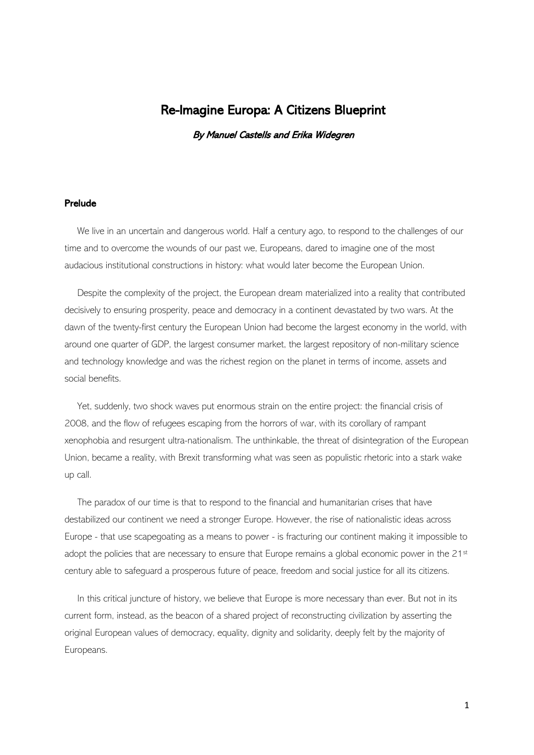# Re-Imagine Europa: A Citizens Blueprint

By Manuel Castells and Erika Widegren

# Prelude

We live in an uncertain and dangerous world. Half a century ago, to respond to the challenges of our time and to overcome the wounds of our past we, Europeans, dared to imagine one of the most audacious institutional constructions in history: what would later become the European Union.

Despite the complexity of the project, the European dream materialized into a reality that contributed decisively to ensuring prosperity, peace and democracy in a continent devastated by two wars. At the dawn of the twenty-first century the European Union had become the largest economy in the world, with around one quarter of GDP, the largest consumer market, the largest repository of non-military science and technology knowledge and was the richest region on the planet in terms of income, assets and social benefits.

Yet, suddenly, two shock waves put enormous strain on the entire project: the financial crisis of 2008, and the flow of refugees escaping from the horrors of war, with its corollary of rampant xenophobia and resurgent ultra-nationalism. The unthinkable, the threat of disintegration of the European Union, became a reality, with Brexit transforming what was seen as populistic rhetoric into a stark wake up call.

The paradox of our time is that to respond to the financial and humanitarian crises that have destabilized our continent we need a stronger Europe. However, the rise of nationalistic ideas across Europe - that use scapegoating as a means to power - is fracturing our continent making it impossible to adopt the policies that are necessary to ensure that Europe remains a global economic power in the 21st century able to safeguard a prosperous future of peace, freedom and social justice for all its citizens.

In this critical juncture of history, we believe that Europe is more necessary than ever. But not in its current form, instead, as the beacon of a shared project of reconstructing civilization by asserting the original European values of democracy, equality, dignity and solidarity, deeply felt by the majority of Europeans.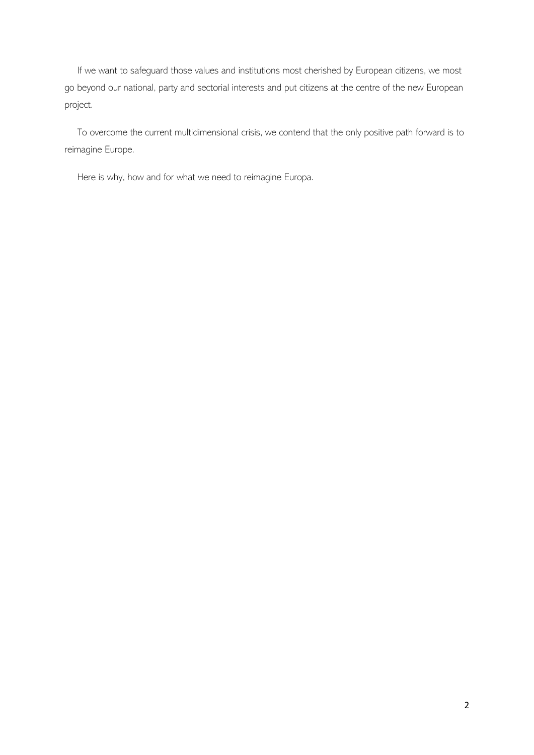If we want to safequard those values and institutions most cherished by European citizens, we most go beyond our national, party and sectorial interests and put citizens at the centre of the new European project.

To overcome the current multidimensional crisis, we contend that the only positive path forward is to reimagine Europe.

Here is why, how and for what we need to reimagine Europa.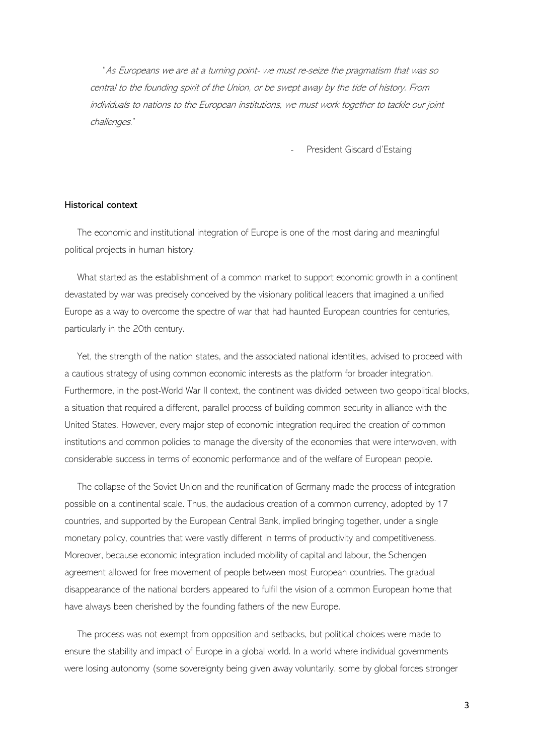"As Europeans we are at a turning point- we must re-seize the pragmatism that was so central to the founding spirit of the Union, or be swept away by the tide of history. From individuals to nations to the European institutions, we must work together to tackle our joint challenges."

President Giscard d'Estaingi

# Historical context

The economic and institutional integration of Europe is one of the most daring and meaningful political projects in human history.

What started as the establishment of a common market to support economic growth in a continent devastated by war was precisely conceived by the visionary political leaders that imagined a unified Europe as a way to overcome the spectre of war that had haunted European countries for centuries, particularly in the 20th century.

Yet, the strength of the nation states, and the associated national identities, advised to proceed with a cautious strategy of using common economic interests as the platform for broader integration. Furthermore, in the post-World War II context, the continent was divided between two geopolitical blocks, a situation that required a different, parallel process of building common security in alliance with the United States. However, every major step of economic integration required the creation of common institutions and common policies to manage the diversity of the economies that were interwoven, with considerable success in terms of economic performance and of the welfare of European people.

The collapse of the Soviet Union and the reunification of Germany made the process of integration possible on a continental scale. Thus, the audacious creation of a common currency, adopted by 17 countries, and supported by the European Central Bank, implied bringing together, under a single monetary policy, countries that were vastly different in terms of productivity and competitiveness. Moreover, because economic integration included mobility of capital and labour, the Schengen agreement allowed for free movement of people between most European countries. The gradual disappearance of the national borders appeared to fulfil the vision of a common European home that have always been cherished by the founding fathers of the new Europe.

The process was not exempt from opposition and setbacks, but political choices were made to ensure the stability and impact of Europe in a global world. In a world where individual governments were losing autonomy (some sovereignty being given away voluntarily, some by global forces stronger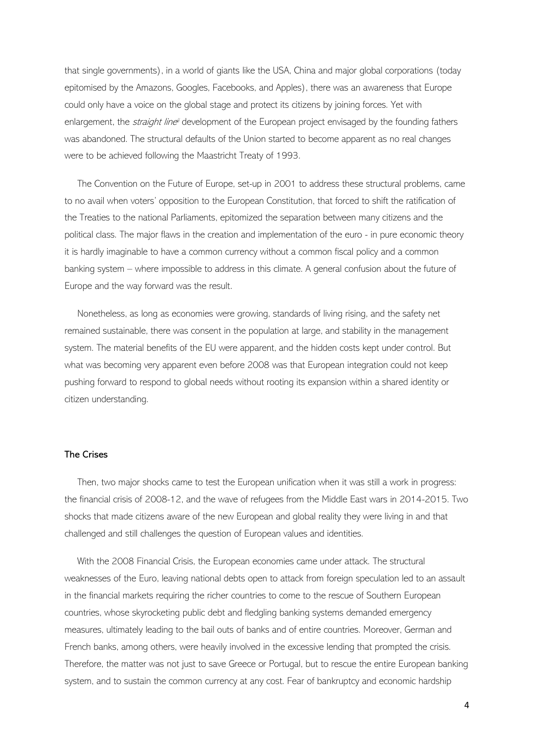that single governments), in a world of giants like the USA, China and major global corporations (today epitomised by the Amazons, Googles, Facebooks, and Apples), there was an awareness that Europe could only have a voice on the global stage and protect its citizens by joining forces. Yet with enlargement, the *straight line*" development of the European project envisaged by the founding fathers was abandoned. The structural defaults of the Union started to become apparent as no real changes were to be achieved following the Maastricht Treaty of 1993.

The Convention on the Future of Europe, set-up in 2001 to address these structural problems, came to no avail when voters' opposition to the European Constitution, that forced to shift the ratification of the Treaties to the national Parliaments, epitomized the separation between many citizens and the political class. The major flaws in the creation and implementation of the euro - in pure economic theory it is hardly imaginable to have a common currency without a common fiscal policy and a common banking system – where impossible to address in this climate. A general confusion about the future of Europe and the way forward was the result.

Nonetheless, as long as economies were growing, standards of living rising, and the safety net remained sustainable, there was consent in the population at large, and stability in the management system. The material benefits of the EU were apparent, and the hidden costs kept under control. But what was becoming very apparent even before 2008 was that European integration could not keep pushing forward to respond to global needs without rooting its expansion within a shared identity or citizen understanding.

# The Crises

Then, two major shocks came to test the European unification when it was still a work in progress: the financial crisis of 2008-12, and the wave of refugees from the Middle East wars in 2014-2015. Two shocks that made citizens aware of the new European and global reality they were living in and that challenged and still challenges the question of European values and identities.

With the 2008 Financial Crisis, the European economies came under attack. The structural weaknesses of the Euro, leaving national debts open to attack from foreign speculation led to an assault in the financial markets requiring the richer countries to come to the rescue of Southern European countries, whose skyrocketing public debt and fledgling banking systems demanded emergency measures, ultimately leading to the bail outs of banks and of entire countries. Moreover, German and French banks, among others, were heavily involved in the excessive lending that prompted the crisis. Therefore, the matter was not just to save Greece or Portugal, but to rescue the entire European banking system, and to sustain the common currency at any cost. Fear of bankruptcy and economic hardship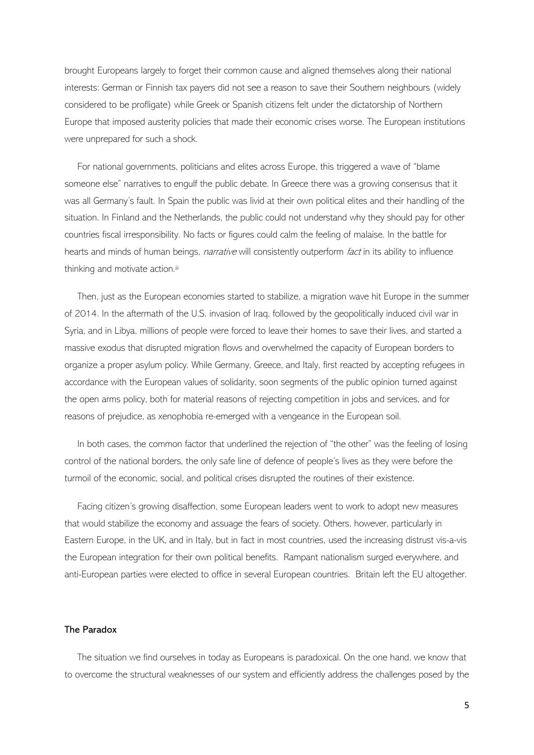brought Europeans largely to forget their common cause and aligned themselves along their national interests: German or Finnish tax payers did not see a reason to save their Southern neighbours (widely considered to be profligate) while Greek or Spanish citizens felt under the dictatorship of Northern Europe that imposed austerity policies that made their economic crises worse. The European institutions were unprepared for such a shock.

For national governments, politicians and elites across Europe, this triggered a wave of "blame someone else" narratives to engulf the public debate. In Greece there was a growing consensus that it was all Germany's fault. In Spain the public was livid at their own political elites and their handling of the situation. In Finland and the Netherlands, the public could not understand why they should pay for other countries fiscal irresponsibility. No facts or figures could calm the feeling of malaise. In the battle for hearts and minds of human beings, *narrative* will consistently outperform *fact* in its ability to influence thinking and motivate action.iii

Then, just as the European economies started to stabilize, a migration wave hit Europe in the summer of 2014. In the aftermath of the U.S. invasion of Iraq, followed by the geopolitically induced civil war in Syria, and in Libya, millions of people were forced to leave their homes to save their lives, and started a massive exodus that disrupted migration flows and overwhelmed the capacity of European borders to organize a proper asylum policy. While Germany, Greece, and Italy, first reacted by accepting refugees in accordance with the European values of solidarity, soon segments of the public opinion turned against the open arms policy, both for material reasons of rejecting competition in jobs and services, and for reasons of prejudice, as xenophobia re-emerged with a vengeance in the European soil.

In both cases, the common factor that underlined the rejection of "the other" was the feeling of losing control of the national borders, the only safe line of defence of people's lives as they were before the turmoil of the economic, social, and political crises disrupted the routines of their existence.

Facing citizen's growing disaffection, some European leaders went to work to adopt new measures that would stabilize the economy and assuage the fears of society. Others, however, particularly in Eastern Europe, in the UK, and in Italy, but in fact in most countries, used the increasing distrust vis-a-vis the European integration for their own political benefits. Rampant nationalism surged everywhere, and anti-European parties were elected to office in several European countries. Britain left the EU altogether.

### The Paradox

The situation we find ourselves in today as Europeans is paradoxical. On the one hand, we know that to overcome the structural weaknesses of our system and efficiently address the challenges posed by the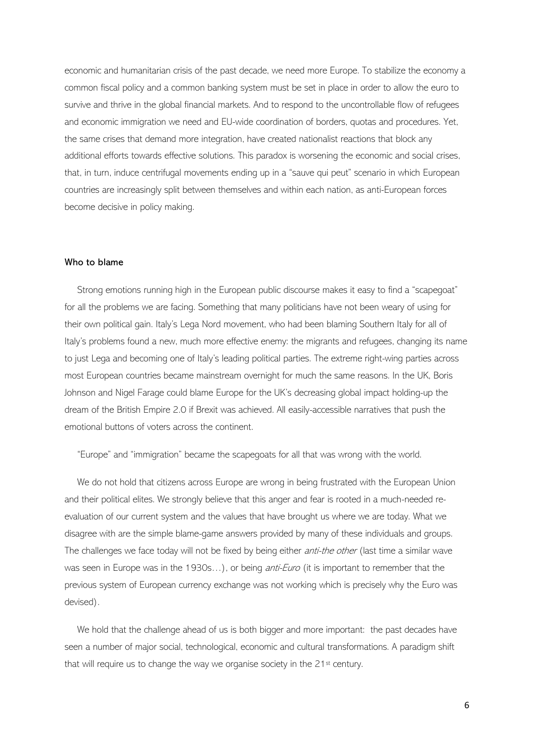economic and humanitarian crisis of the past decade, we need more Europe. To stabilize the economy a common fiscal policy and a common banking system must be set in place in order to allow the euro to survive and thrive in the global financial markets. And to respond to the uncontrollable flow of refugees and economic immigration we need and EU-wide coordination of borders, quotas and procedures. Yet, the same crises that demand more integration, have created nationalist reactions that block any additional efforts towards effective solutions. This paradox is worsening the economic and social crises, that, in turn, induce centrifugal movements ending up in a "sauve qui peut" scenario in which European countries are increasingly split between themselves and within each nation, as anti-European forces become decisive in policy making.

# Who to blame

Strong emotions running high in the European public discourse makes it easy to find a "scapegoat" for all the problems we are facing. Something that many politicians have not been weary of using for their own political gain. Italy's Lega Nord movement, who had been blaming Southern Italy for all of Italy's problems found a new, much more effective enemy: the migrants and refugees, changing its name to just Lega and becoming one of Italy's leading political parties. The extreme right-wing parties across most European countries became mainstream overnight for much the same reasons. In the UK, Boris Johnson and Nigel Farage could blame Europe for the UK's decreasing global impact holding-up the dream of the British Empire 2.0 if Brexit was achieved. All easily-accessible narratives that push the emotional buttons of voters across the continent.

"Europe" and "immigration" became the scapegoats for all that was wrong with the world.

We do not hold that citizens across Europe are wrong in being frustrated with the European Union and their political elites. We strongly believe that this anger and fear is rooted in a much-needed reevaluation of our current system and the values that have brought us where we are today. What we disagree with are the simple blame-game answers provided by many of these individuals and groups. The challenges we face today will not be fixed by being either *anti-the other* (last time a similar wave was seen in Europe was in the 1930s...), or being *anti-Euro* (it is important to remember that the previous system of European currency exchange was not working which is precisely why the Euro was devised).

We hold that the challenge ahead of us is both bigger and more important: the past decades have seen a number of major social, technological, economic and cultural transformations. A paradigm shift that will require us to change the way we organise society in the 21<sup>st</sup> century.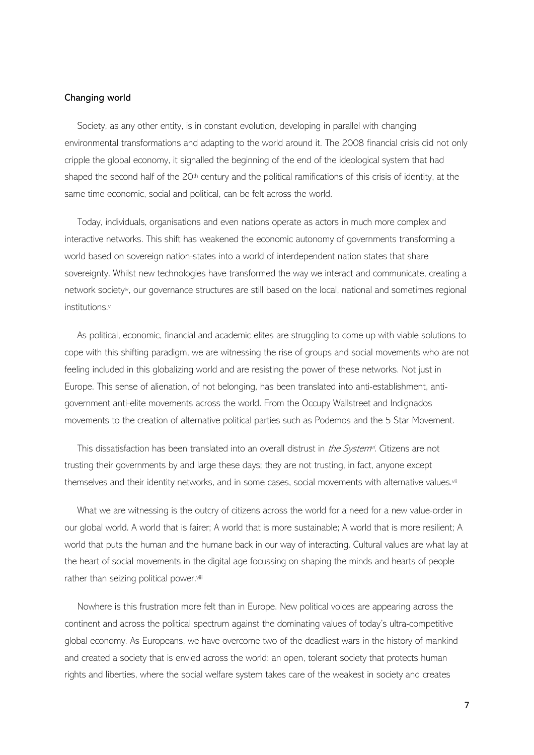### Changing world

Society, as any other entity, is in constant evolution, developing in parallel with changing environmental transformations and adapting to the world around it. The 2008 financial crisis did not only cripple the global economy, it signalled the beginning of the end of the ideological system that had shaped the second half of the 20<sup>th</sup> century and the political ramifications of this crisis of identity, at the same time economic, social and political, can be felt across the world.

Today, individuals, organisations and even nations operate as actors in much more complex and interactive networks. This shift has weakened the economic autonomy of governments transforming a world based on sovereign nation-states into a world of interdependent nation states that share sovereignty. Whilst new technologies have transformed the way we interact and communicate, creating a network society<sup>iv</sup>, our governance structures are still based on the local, national and sometimes regional institutions.<sup>v</sup>

As political, economic, financial and academic elites are struggling to come up with viable solutions to cope with this shifting paradigm, we are witnessing the rise of groups and social movements who are not feeling included in this globalizing world and are resisting the power of these networks. Not just in Europe. This sense of alienation, of not belonging, has been translated into anti-establishment, antigovernment anti-elite movements across the world. From the Occupy Wallstreet and Indignados movements to the creation of alternative political parties such as Podemos and the 5 Star Movement.

This dissatisfaction has been translated into an overall distrust in *the System<sup>,j</sup>*. Citizens are not trusting their governments by and large these days; they are not trusting, in fact, anyone except themselves and their identity networks, and in some cases, social movements with alternative values.<sup>vii</sup>

What we are witnessing is the outcry of citizens across the world for a need for a new value-order in our global world. A world that is fairer; A world that is more sustainable; A world that is more resilient; A world that puts the human and the humane back in our way of interacting. Cultural values are what lay at the heart of social movements in the digital age focussing on shaping the minds and hearts of people rather than seizing political power.viii

Nowhere is this frustration more felt than in Europe. New political voices are appearing across the continent and across the political spectrum against the dominating values of today's ultra-competitive global economy. As Europeans, we have overcome two of the deadliest wars in the history of mankind and created a society that is envied across the world: an open, tolerant society that protects human rights and liberties, where the social welfare system takes care of the weakest in society and creates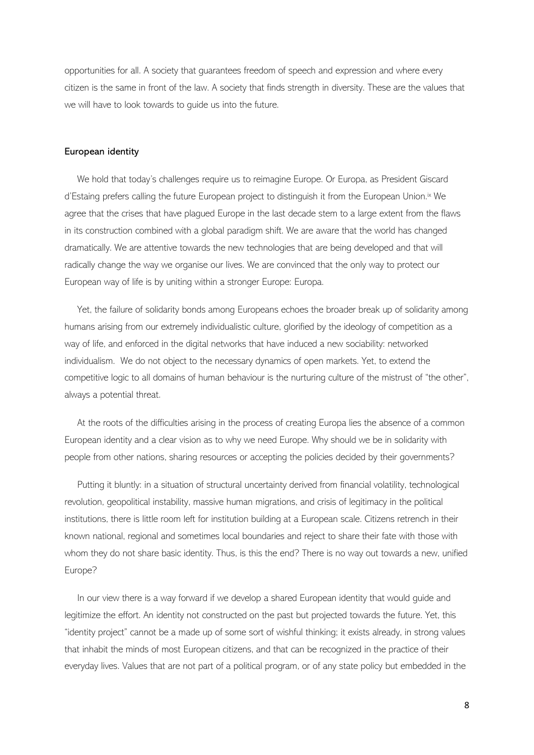opportunities for all. A society that guarantees freedom of speech and expression and where every citizen is the same in front of the law. A society that finds strength in diversity. These are the values that we will have to look towards to guide us into the future.

### European identity

We hold that today's challenges require us to reimagine Europe. Or Europa, as President Giscard d'Estaing prefers calling the future European project to distinguish it from the European Union.ix We agree that the crises that have plagued Europe in the last decade stem to a large extent from the flaws in its construction combined with a global paradigm shift. We are aware that the world has changed dramatically. We are attentive towards the new technologies that are being developed and that will radically change the way we organise our lives. We are convinced that the only way to protect our European way of life is by uniting within a stronger Europe: Europa.

Yet, the failure of solidarity bonds among Europeans echoes the broader break up of solidarity among humans arising from our extremely individualistic culture, glorified by the ideology of competition as a way of life, and enforced in the digital networks that have induced a new sociability: networked individualism. We do not object to the necessary dynamics of open markets. Yet, to extend the competitive logic to all domains of human behaviour is the nurturing culture of the mistrust of "the other", always a potential threat.

At the roots of the difficulties arising in the process of creating Europa lies the absence of a common European identity and a clear vision as to why we need Europe. Why should we be in solidarity with people from other nations, sharing resources or accepting the policies decided by their governments?

Putting it bluntly: in a situation of structural uncertainty derived from financial volatility, technological revolution, geopolitical instability, massive human migrations, and crisis of legitimacy in the political institutions, there is little room left for institution building at a European scale. Citizens retrench in their known national, regional and sometimes local boundaries and reject to share their fate with those with whom they do not share basic identity. Thus, is this the end? There is no way out towards a new, unified Europe?

In our view there is a way forward if we develop a shared European identity that would guide and legitimize the effort. An identity not constructed on the past but projected towards the future. Yet, this "identity project" cannot be a made up of some sort of wishful thinking; it exists already, in strong values that inhabit the minds of most European citizens, and that can be recognized in the practice of their everyday lives. Values that are not part of a political program, or of any state policy but embedded in the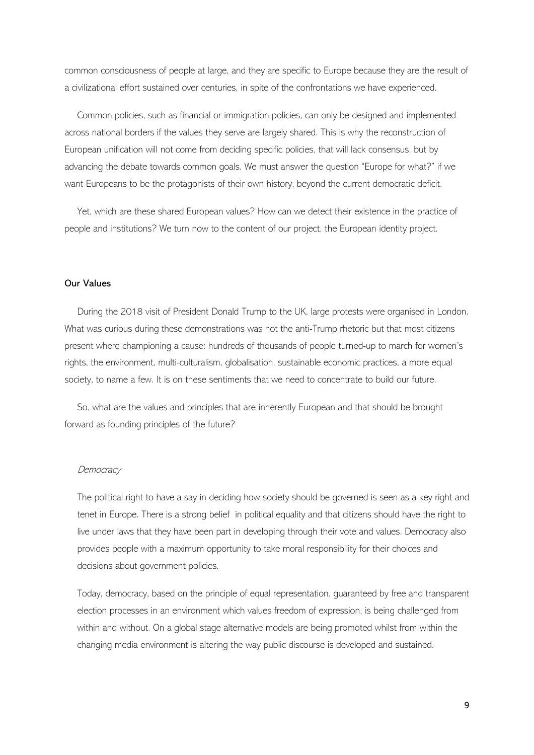common consciousness of people at large, and they are specific to Europe because they are the result of a civilizational effort sustained over centuries, in spite of the confrontations we have experienced.

Common policies, such as financial or immigration policies, can only be designed and implemented across national borders if the values they serve are largely shared. This is why the reconstruction of European unification will not come from deciding specific policies, that will lack consensus, but by advancing the debate towards common goals. We must answer the question "Europe for what?" if we want Europeans to be the protagonists of their own history, beyond the current democratic deficit.

Yet, which are these shared European values? How can we detect their existence in the practice of people and institutions? We turn now to the content of our project, the European identity project.

# Our Values

During the 2018 visit of President Donald Trump to the UK, large protests were organised in London. What was curious during these demonstrations was not the anti-Trump rhetoric but that most citizens present where championing a cause: hundreds of thousands of people turned-up to march for women's rights, the environment, multi-culturalism, globalisation, sustainable economic practices, a more equal society, to name a few. It is on these sentiments that we need to concentrate to build our future.

So, what are the values and principles that are inherently European and that should be brought forward as founding principles of the future?

#### Democracy

The political right to have a say in deciding how society should be governed is seen as a key right and tenet in Europe. There is a strong belief in political equality and that citizens should have the right to live under laws that they have been part in developing through their vote and values. Democracy also provides people with a maximum opportunity to take moral responsibility for their choices and decisions about government policies.

Today, democracy, based on the principle of equal representation, guaranteed by free and transparent election processes in an environment which values freedom of expression, is being challenged from within and without. On a global stage alternative models are being promoted whilst from within the changing media environment is altering the way public discourse is developed and sustained.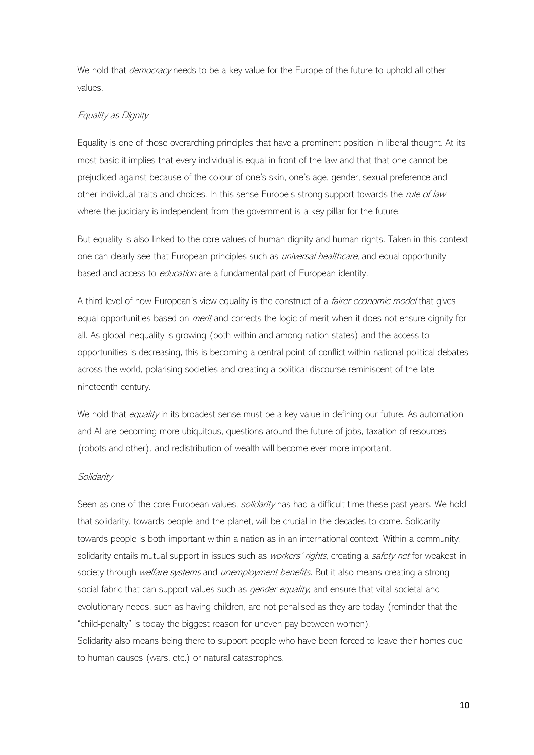We hold that *democracy* needs to be a key value for the Europe of the future to uphold all other values.

# Equality as Dignity

Equality is one of those overarching principles that have a prominent position in liberal thought. At its most basic it implies that every individual is equal in front of the law and that that one cannot be prejudiced against because of the colour of one's skin, one's age, gender, sexual preference and other individual traits and choices. In this sense Europe's strong support towards the rule of law where the judiciary is independent from the government is a key pillar for the future.

But equality is also linked to the core values of human dignity and human rights. Taken in this context one can clearly see that European principles such as *universal healthcare*, and equal opportunity based and access to *education* are a fundamental part of European identity.

A third level of how European's view equality is the construct of a *fairer economic model* that gives equal opportunities based on *merit* and corrects the logic of merit when it does not ensure dignity for all. As global inequality is growing (both within and among nation states) and the access to opportunities is decreasing, this is becoming a central point of conflict within national political debates across the world, polarising societies and creating a political discourse reminiscent of the late nineteenth century.

We hold that *equality* in its broadest sense must be a key value in defining our future. As automation and AI are becoming more ubiquitous, questions around the future of jobs, taxation of resources (robots and other), and redistribution of wealth will become ever more important.

# Solidarity

Seen as one of the core European values, solidarity has had a difficult time these past years. We hold that solidarity, towards people and the planet, will be crucial in the decades to come. Solidarity towards people is both important within a nation as in an international context. Within a community, solidarity entails mutual support in issues such as workers' rights, creating a safety net for weakest in society through welfare systems and unemployment benefits. But it also means creating a strong social fabric that can support values such as *gender equality*, and ensure that vital societal and evolutionary needs, such as having children, are not penalised as they are today (reminder that the "child-penalty" is today the biggest reason for uneven pay between women).

Solidarity also means being there to support people who have been forced to leave their homes due to human causes (wars, etc.) or natural catastrophes.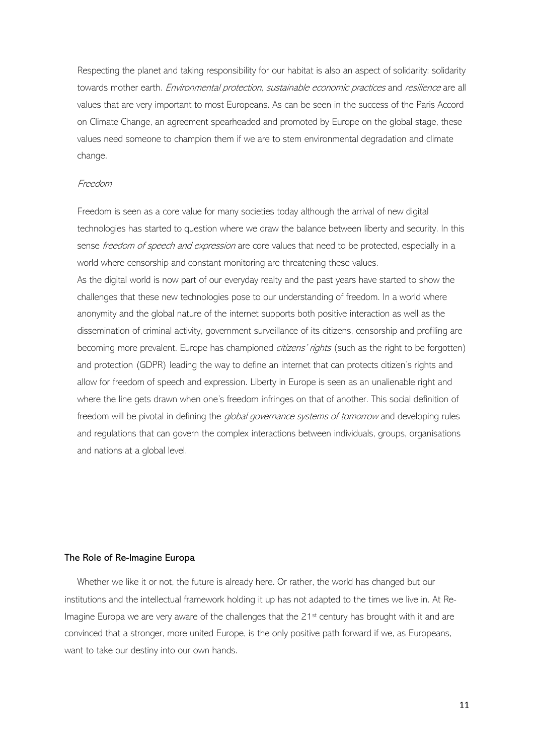Respecting the planet and taking responsibility for our habitat is also an aspect of solidarity: solidarity towards mother earth. Environmental protection, sustainable economic practices and resilience are all values that are very important to most Europeans. As can be seen in the success of the Paris Accord on Climate Change, an agreement spearheaded and promoted by Europe on the global stage, these values need someone to champion them if we are to stem environmental degradation and climate change.

## Freedom

Freedom is seen as a core value for many societies today although the arrival of new digital technologies has started to question where we draw the balance between liberty and security. In this sense freedom of speech and expression are core values that need to be protected, especially in a world where censorship and constant monitoring are threatening these values.

As the digital world is now part of our everyday realty and the past years have started to show the challenges that these new technologies pose to our understanding of freedom. In a world where anonymity and the global nature of the internet supports both positive interaction as well as the dissemination of criminal activity, government surveillance of its citizens, censorship and profiling are becoming more prevalent. Europe has championed citizens' rights (such as the right to be forgotten) and protection (GDPR) leading the way to define an internet that can protects citizen's rights and allow for freedom of speech and expression. Liberty in Europe is seen as an unalienable right and where the line gets drawn when one's freedom infringes on that of another. This social definition of freedom will be pivotal in defining the global governance systems of tomorrow and developing rules and regulations that can govern the complex interactions between individuals, groups, organisations and nations at a global level.

### The Role of Re-Imagine Europa

Whether we like it or not, the future is already here. Or rather, the world has changed but our institutions and the intellectual framework holding it up has not adapted to the times we live in. At Re-Imagine Europa we are very aware of the challenges that the 21<sup>st</sup> century has brought with it and are convinced that a stronger, more united Europe, is the only positive path forward if we, as Europeans, want to take our destiny into our own hands.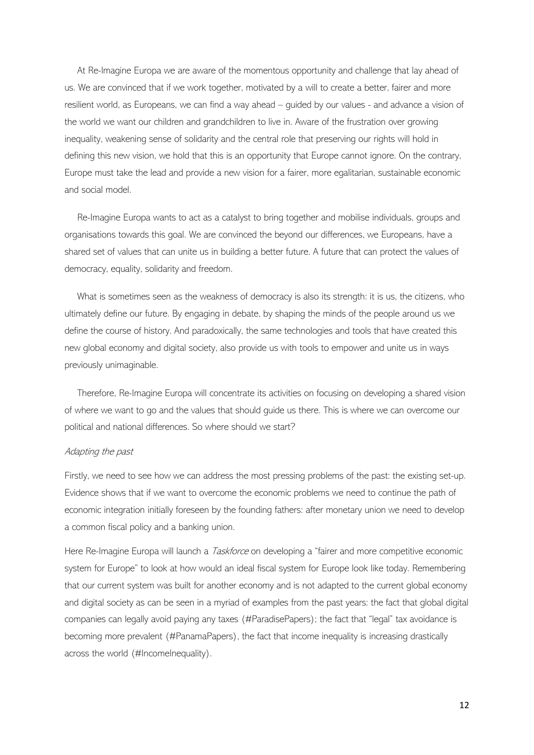At Re-Imagine Europa we are aware of the momentous opportunity and challenge that lay ahead of us. We are convinced that if we work together, motivated by a will to create a better, fairer and more resilient world, as Europeans, we can find a way ahead – guided by our values - and advance a vision of the world we want our children and grandchildren to live in. Aware of the frustration over growing inequality, weakening sense of solidarity and the central role that preserving our rights will hold in defining this new vision, we hold that this is an opportunity that Europe cannot ignore. On the contrary, Europe must take the lead and provide a new vision for a fairer, more egalitarian, sustainable economic and social model.

Re-Imagine Europa wants to act as a catalyst to bring together and mobilise individuals, groups and organisations towards this goal. We are convinced the beyond our differences, we Europeans, have a shared set of values that can unite us in building a better future. A future that can protect the values of democracy, equality, solidarity and freedom.

What is sometimes seen as the weakness of democracy is also its strength: it is us, the citizens, who ultimately define our future. By engaging in debate, by shaping the minds of the people around us we define the course of history. And paradoxically, the same technologies and tools that have created this new global economy and digital society, also provide us with tools to empower and unite us in ways previously unimaginable.

Therefore, Re-Imagine Europa will concentrate its activities on focusing on developing a shared vision of where we want to go and the values that should guide us there. This is where we can overcome our political and national differences. So where should we start?

### Adapting the past

Firstly, we need to see how we can address the most pressing problems of the past: the existing set-up. Evidence shows that if we want to overcome the economic problems we need to continue the path of economic integration initially foreseen by the founding fathers: after monetary union we need to develop a common fiscal policy and a banking union.

Here Re-Imagine Europa will launch a *Taskforce* on developing a "fairer and more competitive economic system for Europe" to look at how would an ideal fiscal system for Europe look like today. Remembering that our current system was built for another economy and is not adapted to the current global economy and digital society as can be seen in a myriad of examples from the past years: the fact that global digital companies can legally avoid paying any taxes (#ParadisePapers); the fact that "legal" tax avoidance is becoming more prevalent (#PanamaPapers), the fact that income inequality is increasing drastically across the world (#IncomeInequality).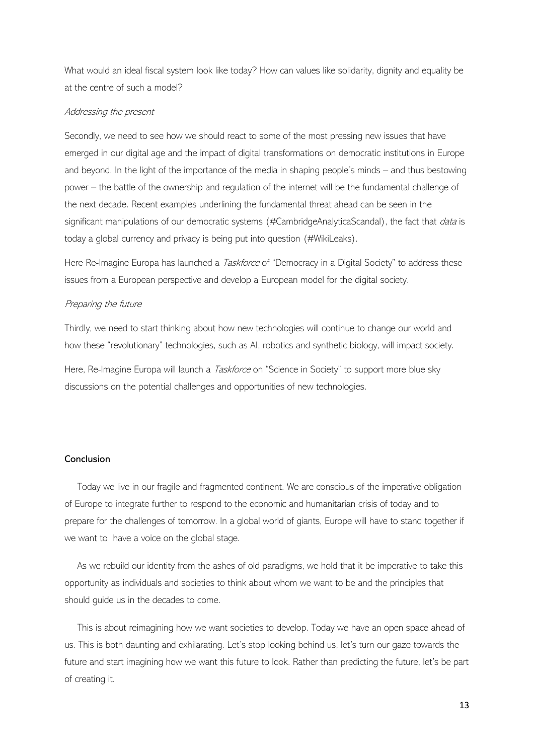What would an ideal fiscal system look like today? How can values like solidarity, dignity and equality be at the centre of such a model?

### Addressing the present

Secondly, we need to see how we should react to some of the most pressing new issues that have emerged in our digital age and the impact of digital transformations on democratic institutions in Europe and beyond. In the light of the importance of the media in shaping people's minds – and thus bestowing power – the battle of the ownership and regulation of the internet will be the fundamental challenge of the next decade. Recent examples underlining the fundamental threat ahead can be seen in the significant manipulations of our democratic systems (#CambridgeAnalyticaScandal), the fact that *data* is today a global currency and privacy is being put into question (#WikiLeaks).

Here Re-Imagine Europa has launched a *Taskforce* of "Democracy in a Digital Society" to address these issues from a European perspective and develop a European model for the digital society.

#### Preparing the future

Thirdly, we need to start thinking about how new technologies will continue to change our world and how these "revolutionary" technologies, such as AI, robotics and synthetic biology, will impact society.

Here, Re-Imagine Europa will launch a *Taskforce* on "Science in Society" to support more blue sky discussions on the potential challenges and opportunities of new technologies.

# Conclusion

Today we live in our fragile and fragmented continent. We are conscious of the imperative obligation of Europe to integrate further to respond to the economic and humanitarian crisis of today and to prepare for the challenges of tomorrow. In a global world of giants, Europe will have to stand together if we want to have a voice on the global stage.

As we rebuild our identity from the ashes of old paradigms, we hold that it be imperative to take this opportunity as individuals and societies to think about whom we want to be and the principles that should guide us in the decades to come.

This is about reimagining how we want societies to develop. Today we have an open space ahead of us. This is both daunting and exhilarating. Let's stop looking behind us, let's turn our gaze towards the future and start imagining how we want this future to look. Rather than predicting the future, let's be part of creating it.